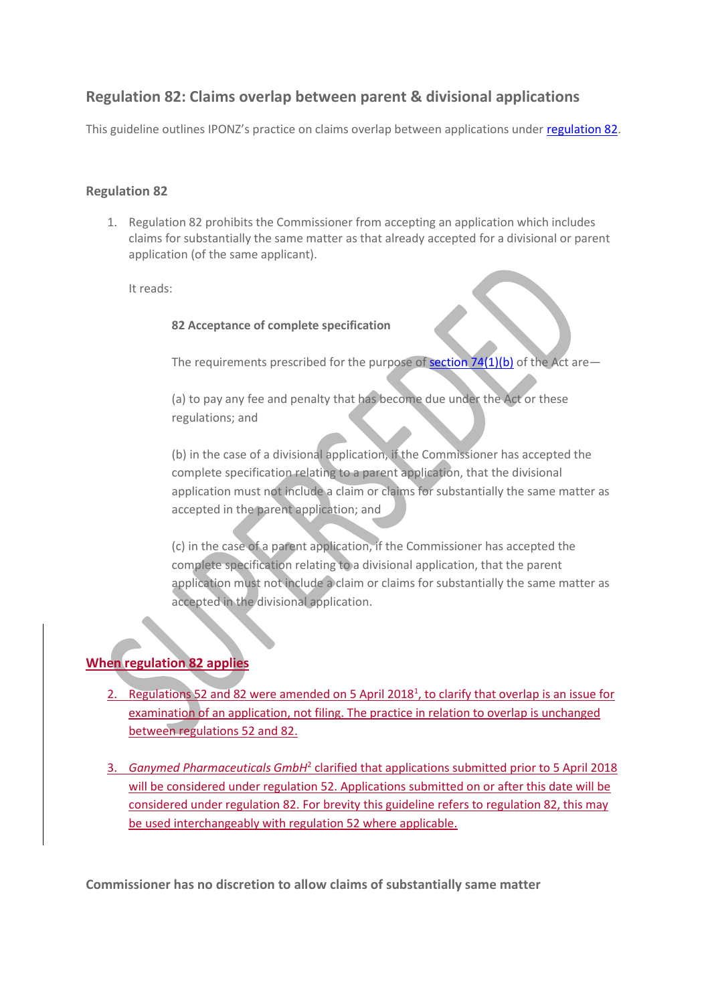# **Regulation 82: Claims overlap between parent & divisional applications**

This guideline outlines IPONZ's practice on claims overlap between applications under [regulation 82.](http://legislation.govt.nz/regulation/public/2014/0275/latest/link.aspx?id=DLM6207211)

# **Regulation 82**

1. Regulation 82 prohibits the Commissioner from accepting an application which includes claims for substantially the same matter as that already accepted for a divisional or parent application (of the same applicant).

It reads:

#### **82 Acceptance of complete specification**

The requirements prescribed for the purpose of section  $74(1)(b)$  of the Act are-

(a) to pay any fee and penalty that has become due under the Act or these regulations; and

(b) in the case of a divisional application, if the Commissioner has accepted the complete specification relating to a parent application, that the divisional application must not include a claim or claims for substantially the same matter as accepted in the parent application; and

(c) in the case of a parent application, if the Commissioner has accepted the complete specification relating to a divisional application, that the parent application must not include a claim or claims for substantially the same matter as accepted in the divisional application.

# **When regulation 82 applies**

- 2. Regulations 52 and 82 were amended on 5 April 2018<sup>1</sup>, to clarify that overlap is an issue for examination of an application, not filing. The practice in relation to overlap is unchanged between regulations 52 and 82.
- 3. Ganymed Pharmaceuticals GmbH<sup>2</sup> clarified that applications submitted prior to 5 April 2018 will be considered under regulation 52. Applications submitted on or after this date will be considered under regulation 82. For brevity this guideline refers to regulation 82, this may be used interchangeably with regulation 52 where applicable.

**Commissioner has no discretion to allow claims of substantially same matter**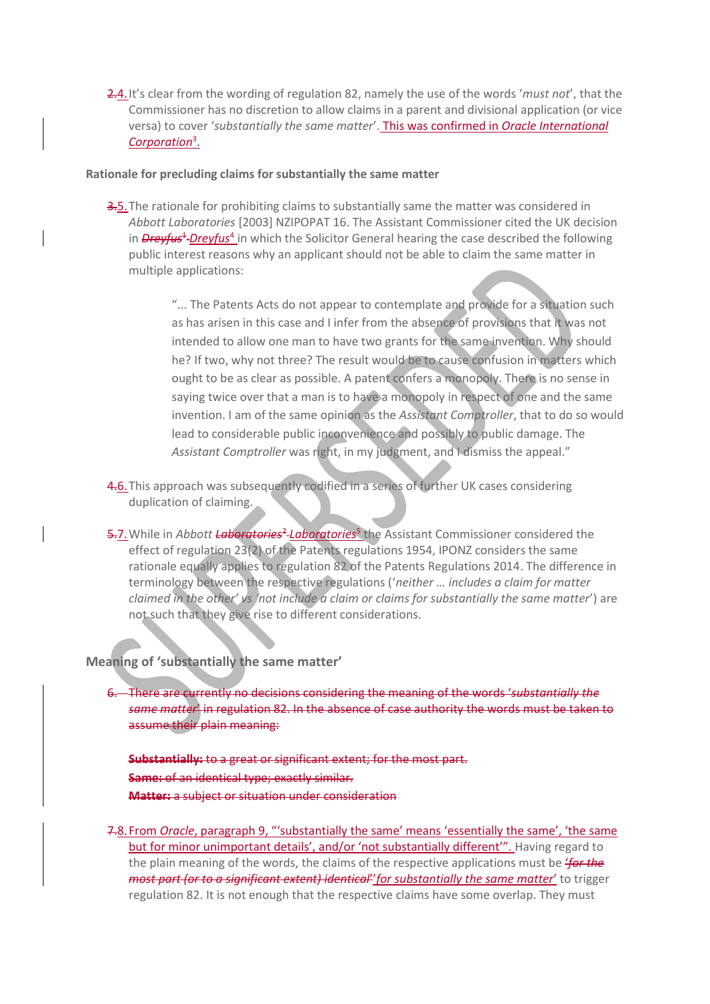2.4.It's clear from the wording of regulation 82, namely the use of the words '*must not*', that the Commissioner has no discretion to allow claims in a parent and divisional application (or vice versa) to cover '*substantially the same matter*'. This was confirmed in *Oracle International Corporation*<sup>3</sup> .

#### **Rationale for precluding claims for substantially the same matter**

3.5. The rationale for prohibiting claims to substantially same the matter was considered in *Abbott Laboratories* [2003] NZIPOPAT 16. The Assistant Commissioner cited the UK decision in *Dreyfus<sup>1</sup>-Dreyfus<sup>4</sup>* in which the Solicitor General hearing the case described the following public interest reasons why an applicant should not be able to claim the same matter in multiple applications:

> "... The Patents Acts do not appear to contemplate and provide for a situation such as has arisen in this case and I infer from the absence of provisions that it was not intended to allow one man to have two grants for the same invention. Why should he? If two, why not three? The result would be to cause confusion in matters which ought to be as clear as possible. A patent confers a monopoly. There is no sense in saying twice over that a man is to have a monopoly in respect of one and the same invention. I am of the same opinion as the *Assistant Comptroller*, that to do so would lead to considerable public inconvenience and possibly to public damage. The *Assistant Comptroller* was right, in my judgment, and I dismiss the appeal."

- 4.6. This approach was subsequently codified in a series of further UK cases considering duplication of claiming.
- 5.7. While in *Abbott Laboratories<sup>2</sup> Laboratories<sup>5</sup>* the Assistant Commissioner considered the effect of regulation 23(2) of the Patents regulations 1954, IPONZ considers the same rationale equally applies to regulation 82 of the Patents Regulations 2014. The difference in terminology between the respective regulations ('*neither … includes a claim for matter claimed in the other' vs 'not include a claim or claims for substantially the same matter*') are not such that they give rise to different considerations.

# **Meaning of 'substantially the same matter'**

6. There are currently no decisions considering the meaning of the words '*substantially the same matter*' in regulation 82. In the absence of case authority the words must be taken to assume their plain meaning:

**Substantially:** to a great or significant extent; for the most part. **Same:** of an identical type; exactly similar. **Matter:** a subject or situation under consideration

7.8.From *Oracle*, paragraph 9, "'substantially the same' means 'essentially the same', 'the same but for minor unimportant details', and/or 'not substantially different'". Having regard to the plain meaning of the words, the claims of the respective applications must be '*for the most part (or to a significant extent) identical*''*for substantially the same matter*' to trigger regulation 82. It is not enough that the respective claims have some overlap. They must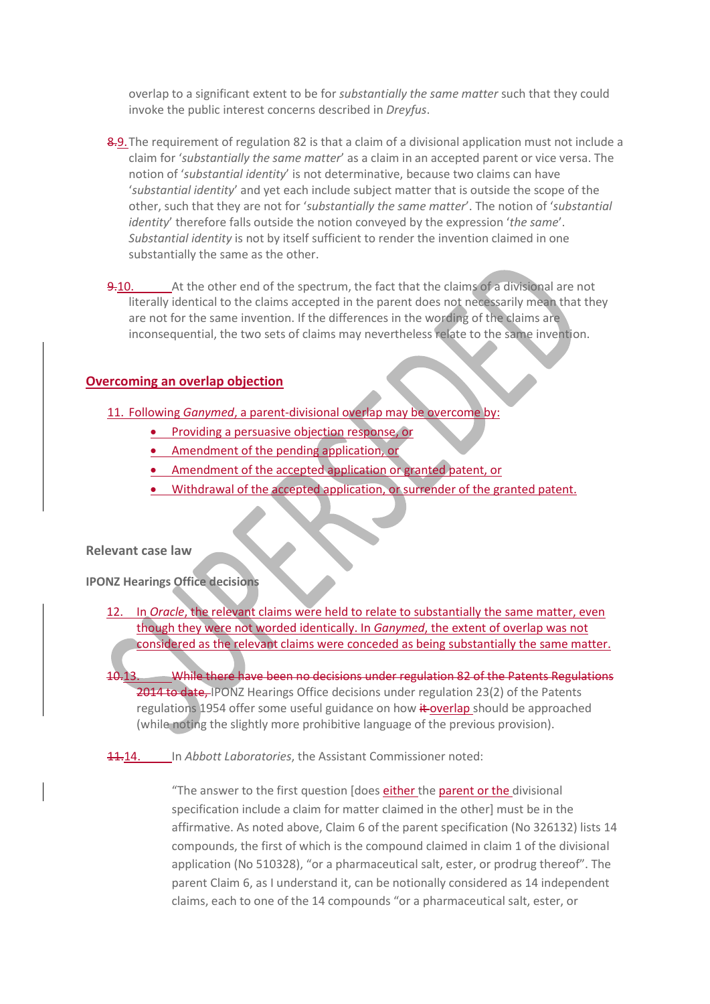overlap to a significant extent to be for *substantially the same matter* such that they could invoke the public interest concerns described in *Dreyfus*.

- 8.9. The requirement of regulation 82 is that a claim of a divisional application must not include a claim for '*substantially the same matter*' as a claim in an accepted parent or vice versa. The notion of '*substantial identity*' is not determinative, because two claims can have '*substantial identity*' and yet each include subject matter that is outside the scope of the other, such that they are not for '*substantially the same matter*'. The notion of '*substantial identity*' therefore falls outside the notion conveyed by the expression '*the same*'. *Substantial identity* is not by itself sufficient to render the invention claimed in one substantially the same as the other.
- 9.10. At the other end of the spectrum, the fact that the claims of a divisional are not literally identical to the claims accepted in the parent does not necessarily mean that they are not for the same invention. If the differences in the wording of the claims are inconsequential, the two sets of claims may nevertheless relate to the same invention.

#### **Overcoming an overlap objection**

- 11. Following *Ganymed*, a parent-divisional overlap may be overcome by:
	- **•** Providing a persuasive objection response, or
	- Amendment of the pending application, or
	- Amendment of the accepted application or granted patent, or
	- Withdrawal of the accepted application, or surrender of the granted patent.

#### **Relevant case law**

**IPONZ Hearings Office decisions**

- 12. In *Oracle*, the relevant claims were held to relate to substantially the same matter, even though they were not worded identically. In *Ganymed*, the extent of overlap was not considered as the relevant claims were conceded as being substantially the same matter.
- 10.13. While there have been no decisions under regulation 82 of the Patents Regulations 2014 to date, IPONZ Hearings Office decisions under regulation 23(2) of the Patents regulations 1954 offer some useful guidance on how it overlap should be approached (while noting the slightly more prohibitive language of the previous provision).

11.14. In *Abbott Laboratories*, the Assistant Commissioner noted:

"The answer to the first question [does either the parent or the divisional specification include a claim for matter claimed in the other] must be in the affirmative. As noted above, Claim 6 of the parent specification (No 326132) lists 14 compounds, the first of which is the compound claimed in claim 1 of the divisional application (No 510328), "or a pharmaceutical salt, ester, or prodrug thereof". The parent Claim 6, as I understand it, can be notionally considered as 14 independent claims, each to one of the 14 compounds "or a pharmaceutical salt, ester, or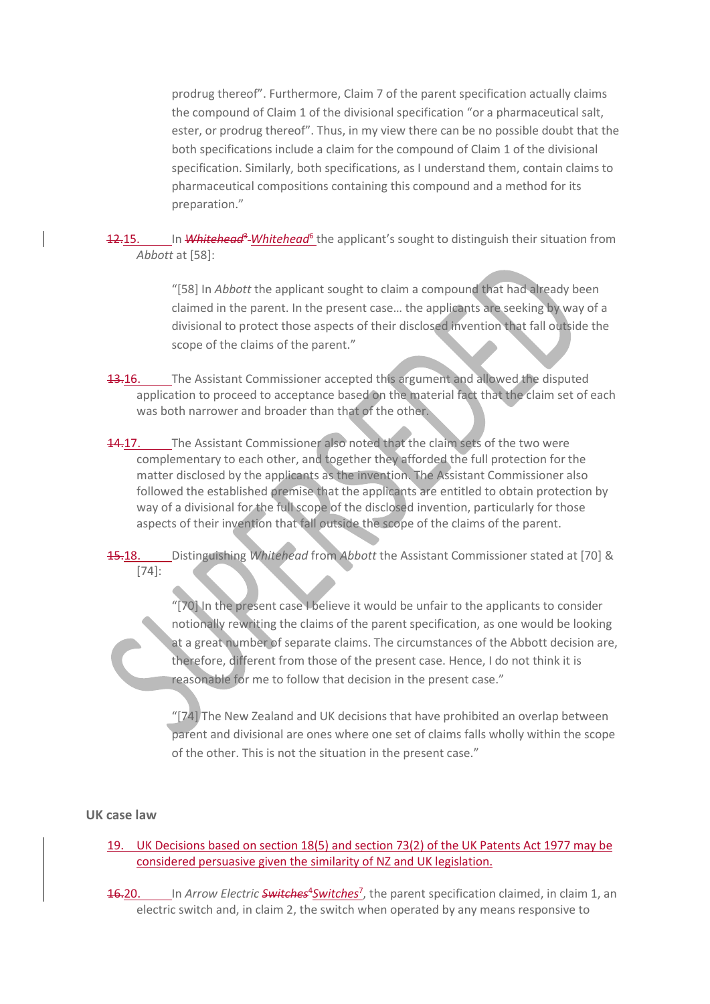prodrug thereof". Furthermore, Claim 7 of the parent specification actually claims the compound of Claim 1 of the divisional specification "or a pharmaceutical salt, ester, or prodrug thereof". Thus, in my view there can be no possible doubt that the both specifications include a claim for the compound of Claim 1 of the divisional specification. Similarly, both specifications, as I understand them, contain claims to pharmaceutical compositions containing this compound and a method for its preparation."

12.15. In Whitehead<sup>3</sup> Whitehead<sup>6</sup> the applicant's sought to distinguish their situation from *Abbott* at [58]:

> "[58] In *Abbott* the applicant sought to claim a compound that had already been claimed in the parent. In the present case… the applicants are seeking by way of a divisional to protect those aspects of their disclosed invention that fall outside the scope of the claims of the parent."

- **13.16.** The Assistant Commissioner accepted this argument and allowed the disputed application to proceed to acceptance based on the material fact that the claim set of each was both narrower and broader than that of the other.
- 14.17. The Assistant Commissioner also noted that the claim sets of the two were complementary to each other, and together they afforded the full protection for the matter disclosed by the applicants as the invention. The Assistant Commissioner also followed the established premise that the applicants are entitled to obtain protection by way of a divisional for the full scope of the disclosed invention, particularly for those aspects of their invention that fall outside the scope of the claims of the parent.

15.18. Distinguishing *Whitehead* from *Abbott* the Assistant Commissioner stated at [70] & [74]:

> "[70] In the present case I believe it would be unfair to the applicants to consider notionally rewriting the claims of the parent specification, as one would be looking at a great number of separate claims. The circumstances of the Abbott decision are, therefore, different from those of the present case. Hence, I do not think it is reasonable for me to follow that decision in the present case."

> "[74] The New Zealand and UK decisions that have prohibited an overlap between parent and divisional are ones where one set of claims falls wholly within the scope of the other. This is not the situation in the present case."

#### **UK case law**

19. UK Decisions based on section 18(5) and section 73(2) of the UK Patents Act 1977 may be considered persuasive given the similarity of NZ and UK legislation.

16-20. In *Arrow Electric* Switches<sup>4</sup> Switches<sup>7</sup>, the parent specification claimed, in claim 1, an electric switch and, in claim 2, the switch when operated by any means responsive to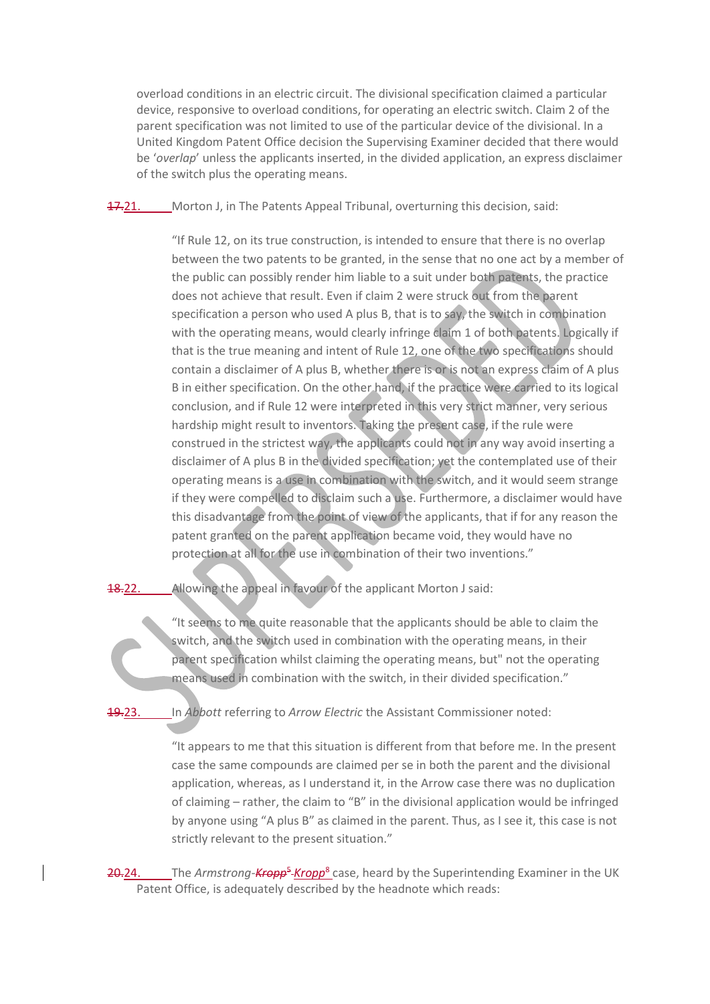overload conditions in an electric circuit. The divisional specification claimed a particular device, responsive to overload conditions, for operating an electric switch. Claim 2 of the parent specification was not limited to use of the particular device of the divisional. In a United Kingdom Patent Office decision the Supervising Examiner decided that there would be '*overlap*' unless the applicants inserted, in the divided application, an express disclaimer of the switch plus the operating means.

17.21. Morton J, in The Patents Appeal Tribunal, overturning this decision, said:

"If Rule 12, on its true construction, is intended to ensure that there is no overlap between the two patents to be granted, in the sense that no one act by a member of the public can possibly render him liable to a suit under both patents, the practice does not achieve that result. Even if claim 2 were struck out from the parent specification a person who used A plus B, that is to say, the switch in combination with the operating means, would clearly infringe claim 1 of both patents. Logically if that is the true meaning and intent of Rule 12, one of the two specifications should contain a disclaimer of A plus B, whether there is or is not an express claim of A plus B in either specification. On the other hand, if the practice were carried to its logical conclusion, and if Rule 12 were interpreted in this very strict manner, very serious hardship might result to inventors. Taking the present case, if the rule were construed in the strictest way, the applicants could not in any way avoid inserting a disclaimer of A plus B in the divided specification; yet the contemplated use of their operating means is a use in combination with the switch, and it would seem strange if they were compelled to disclaim such a use. Furthermore, a disclaimer would have this disadvantage from the point of view of the applicants, that if for any reason the patent granted on the parent application became void, they would have no protection at all for the use in combination of their two inventions."

**18.22.** Allowing the appeal in favour of the applicant Morton J said:

"It seems to me quite reasonable that the applicants should be able to claim the switch, and the switch used in combination with the operating means, in their parent specification whilst claiming the operating means, but" not the operating means used in combination with the switch, in their divided specification."

19.23. In *Abbott* referring to *Arrow Electric* the Assistant Commissioner noted:

"It appears to me that this situation is different from that before me. In the present case the same compounds are claimed per se in both the parent and the divisional application, whereas, as I understand it, in the Arrow case there was no duplication of claiming – rather, the claim to "B" in the divisional application would be infringed by anyone using "A plus B" as claimed in the parent. Thus, as I see it, this case is not strictly relevant to the present situation."

20.24. The *Armstrong-Kropp<sup>5</sup>-Kropp*<sup>8</sup> case, heard by the Superintending Examiner in the UK Patent Office, is adequately described by the headnote which reads: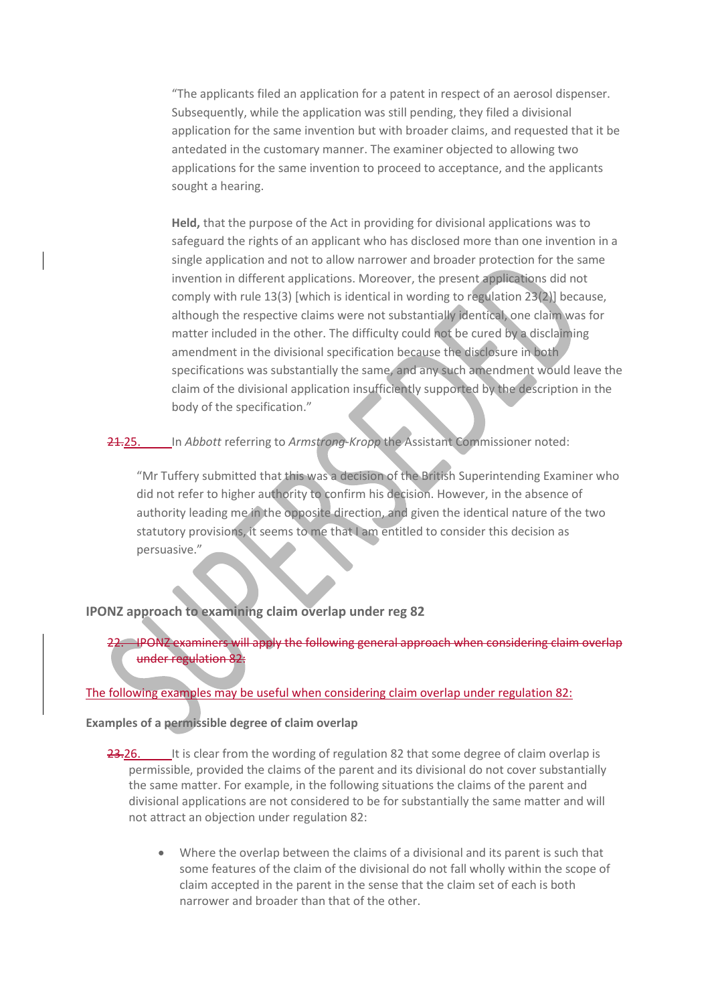"The applicants filed an application for a patent in respect of an aerosol dispenser. Subsequently, while the application was still pending, they filed a divisional application for the same invention but with broader claims, and requested that it be antedated in the customary manner. The examiner objected to allowing two applications for the same invention to proceed to acceptance, and the applicants sought a hearing.

**Held,** that the purpose of the Act in providing for divisional applications was to safeguard the rights of an applicant who has disclosed more than one invention in a single application and not to allow narrower and broader protection for the same invention in different applications. Moreover, the present applications did not comply with rule 13(3) [which is identical in wording to regulation 23(2)] because, although the respective claims were not substantially identical, one claim was for matter included in the other. The difficulty could not be cured by a disclaiming amendment in the divisional specification because the disclosure in both specifications was substantially the same, and any such amendment would leave the claim of the divisional application insufficiently supported by the description in the body of the specification."

21.25. In *Abbott* referring to *Armstrong-Kropp* the Assistant Commissioner noted:

"Mr Tuffery submitted that this was a decision of the British Superintending Examiner who did not refer to higher authority to confirm his decision. However, in the absence of authority leading me in the opposite direction, and given the identical nature of the two statutory provisions, it seems to me that I am entitled to consider this decision as persuasive."

# **IPONZ approach to examining claim overlap under reg 82**

22. IPONZ examiners will apply the following general approach when considering claim overlap under regulation 82:

#### The following examples may be useful when considering claim overlap under regulation 82:

#### **Examples of a permissible degree of claim overlap**

- 23.26. It is clear from the wording of regulation 82 that some degree of claim overlap is permissible, provided the claims of the parent and its divisional do not cover substantially the same matter. For example, in the following situations the claims of the parent and divisional applications are not considered to be for substantially the same matter and will not attract an objection under regulation 82:
	- Where the overlap between the claims of a divisional and its parent is such that some features of the claim of the divisional do not fall wholly within the scope of claim accepted in the parent in the sense that the claim set of each is both narrower and broader than that of the other.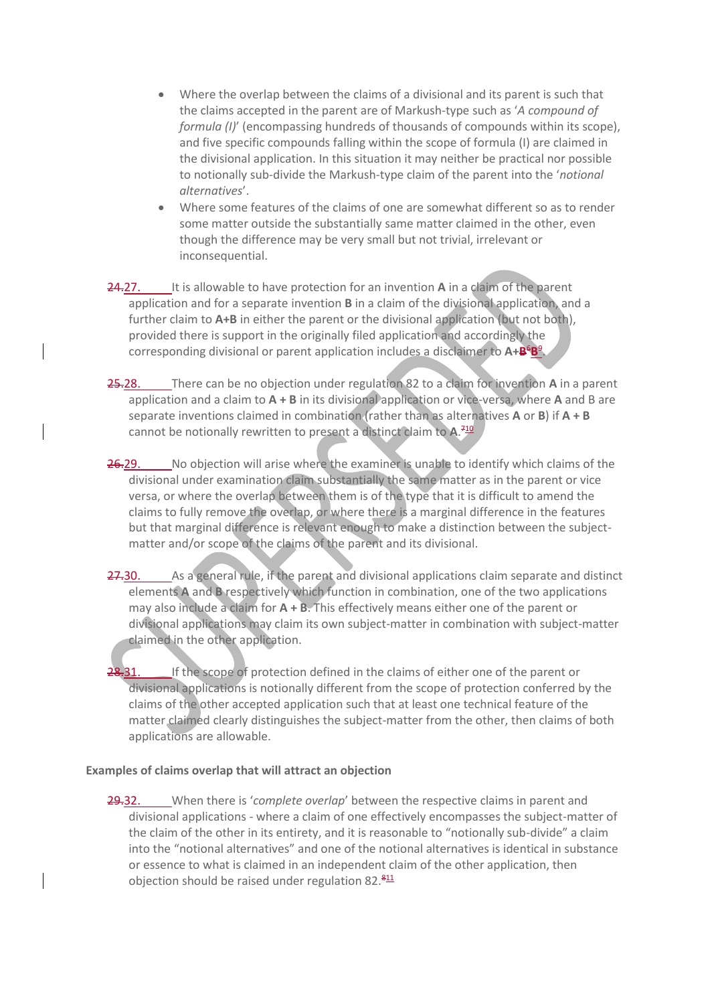- Where the overlap between the claims of a divisional and its parent is such that the claims accepted in the parent are of Markush-type such as '*A compound of formula (I)*' (encompassing hundreds of thousands of compounds within its scope), and five specific compounds falling within the scope of formula (I) are claimed in the divisional application. In this situation it may neither be practical nor possible to notionally sub-divide the Markush-type claim of the parent into the '*notional alternatives*'.
- Where some features of the claims of one are somewhat different so as to render some matter outside the substantially same matter claimed in the other, even though the difference may be very small but not trivial, irrelevant or inconsequential.
- 24.27. It is allowable to have protection for an invention **A** in a claim of the parent application and for a separate invention **B** in a claim of the divisional application, and a further claim to A+B in either the parent or the divisional application (but not both), provided there is support in the originally filed application and accordingly the corresponding divisional or parent application includes a disclaimer to A+B<sup>6</sup>B<sup>9</sup>.
- 25.28. There can be no objection under regulation 82 to a claim for invention **A** in a parent application and a claim to **A + B** in its divisional application or vice-versa, where **A** and B are separate inventions claimed in combination (rather than as alternatives **A** or **B**) if **A + B** cannot be notionally rewritten to present a distinct claim to **A**. 710
- 26.29. No objection will arise where the examiner is unable to identify which claims of the divisional under examination claim substantially the same matter as in the parent or vice versa, or where the overlap between them is of the type that it is difficult to amend the claims to fully remove the overlap, or where there is a marginal difference in the features but that marginal difference is relevant enough to make a distinction between the subjectmatter and/or scope of the claims of the parent and its divisional.
- 27.30. As a general rule, if the parent and divisional applications claim separate and distinct elements **A** and **B** respectively which function in combination, one of the two applications may also include a claim for **A + B**. This effectively means either one of the parent or divisional applications may claim its own subject-matter in combination with subject-matter claimed in the other application.

28.31. If the scope of protection defined in the claims of either one of the parent or divisional applications is notionally different from the scope of protection conferred by the claims of the other accepted application such that at least one technical feature of the matter claimed clearly distinguishes the subject-matter from the other, then claims of both applications are allowable.

#### **Examples of claims overlap that will attract an objection**

29.32. When there is '*complete overlap*' between the respective claims in parent and divisional applications - where a claim of one effectively encompasses the subject-matter of the claim of the other in its entirety, and it is reasonable to "notionally sub-divide" a claim into the "notional alternatives" and one of the notional alternatives is identical in substance or essence to what is claimed in an independent claim of the other application, then objection should be raised under regulation  $82.\frac{811}{11}$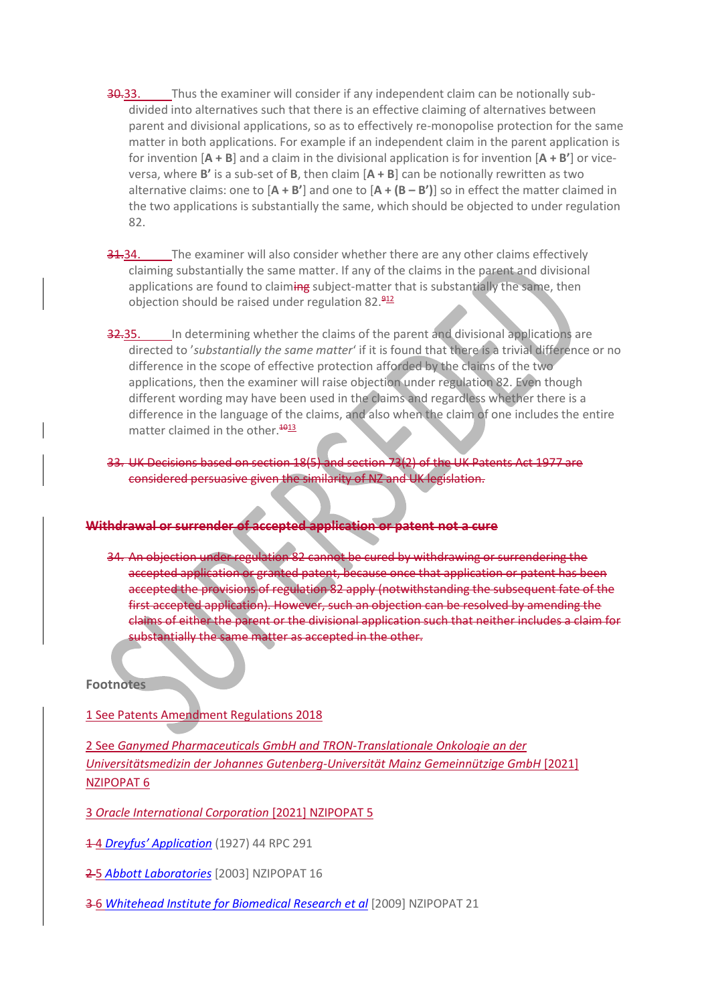- **30.33.** Thus the examiner will consider if any independent claim can be notionally subdivided into alternatives such that there is an effective claiming of alternatives between parent and divisional applications, so as to effectively re-monopolise protection for the same matter in both applications. For example if an independent claim in the parent application is for invention [**A + B**] and a claim in the divisional application is for invention [**A + B'**] or viceversa, where **B'** is a sub-set of **B**, then claim [**A + B**] can be notionally rewritten as two alternative claims: one to [**A + B'**] and one to [**A + (B – B')**] so in effect the matter claimed in the two applications is substantially the same, which should be objected to under regulation 82.
- 31.34. The examiner will also consider whether there are any other claims effectively claiming substantially the same matter. If any of the claims in the parent and divisional applications are found to claiming subject-matter that is substantially the same, then objection should be raised under regulation  $82.\frac{912}{11}$
- 32.35. In determining whether the claims of the parent and divisional applications are directed to '*substantially the same matter*' if it is found that there is a trivial difference or no difference in the scope of effective protection afforded by the claims of the two applications, then the examiner will raise objection under regulation 82. Even though different wording may have been used in the claims and regardless whether there is a difference in the language of the claims, and also when the claim of one includes the entire matter claimed in the other.<sup>4013</sup>
- 33. UK Decisions based on section 18(5) and section 73(2) of the UK Patents Act 1977 are considered persuasive given the similarity of NZ and UK legislation.

# **Withdrawal or surrender of accepted application or patent not a cure**

34. An objection under regulation 82 cannot be cured by withdrawing or surrendering the accepted application or granted patent, because once that application or patent has been accepted the provisions of regulation 82 apply (notwithstanding the subsequent fate of the first accepted application). However, such an objection can be resolved by amending the claims of either the parent or the divisional application such that neither includes a claim for substantially the same matter as accepted in the other.

#### **Footnotes**

#### 1 See Patents Amendment Regulations 2018

2 See *[Ganymed Pharmaceuticals GmbH and TRON-Translationale Onkologie an der](http://www.nzlii.org/nz/cases/NZIPOPAT/2021/6.html)  [Universitätsmedizin der Johannes Gutenberg-Universität Mainz Gemeinnützige GmbH](http://www.nzlii.org/nz/cases/NZIPOPAT/2021/6.html)* [2021] NZIPOPAT 6

3 *[Oracle International Corporation](http://www.nzlii.org/nz/cases/NZIPOPAT/2021/5.html)* [2021] NZIPOPAT 5

1 4 *[Dreyfus' Application](https://academic.oup.com/rpc/article-pdf/44/9/291/4783124/44-9-291.pdf)* (1927) 44 RPC 291

2 5 *[Abbott Laboratories](http://www.nzlii.org/nz/cases/NZIPOPAT/2003/16.html)* [2003] NZIPOPAT 16

3 6 *[Whitehead Institute for Biomedical Research et al](http://www.nzlii.org/nz/cases/NZIPOPAT/2009/21.html)* [2009] NZIPOPAT 21